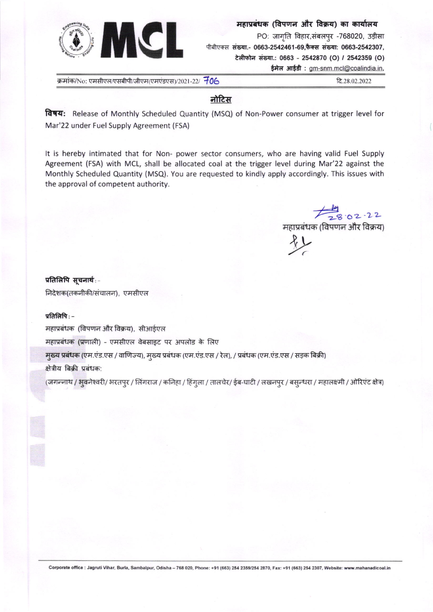

महाप्रबंधक (विपणन और विक्रय) का कार्यालय PO: जागृति विहार,संबलपुर -768020, उड़ीसा पीबीएक्स संख्या.- 0663-2542461-69,फैक्स संख्या: 0663-2542307, टेलीफोन संख्या.: 0663 - 2542870 (O) / 2542359 (O)

ईमेल आईडी: gm-snm.mcl@coalindia.in,

क्रमांक/No: एमसीएल/एसबीपी/जीएम(एमएंडएस)/2021-22/ 706

टि २८ ०२ २०२२

# नोटिस

विषय: Release of Monthly Scheduled Quantity (MSQ) of Non-Power consumer at trigger level for Mar'22 under Fuel Supply Agreement (FSA)

It is hereby intimated that for Non- power sector consumers, who are having valid Fuel Supply Agreement (FSA) with MCL, shall be allocated coal at the trigger level during Mar'22 against the Monthly Scheduled Quantity (MSQ). You are requested to kindly apply accordingly. This issues with the approval of competent authority.

स्य १०२ - २२<br>महाप्रबंधक (विपणन और विक्रय)

 $f_L$ 

#### प्रतिलिपि सूचनार्थ:-

निदेशक(तकनीकी/संचालन), एमसीएल

#### प्रतिलिपि $:$  –

महाप्रबंधक (विपणन और विक्रय), सीआईएल

महाप्रबंधक (प्रणाली) - एमसीएल वेबसाइट पर अपलोड के लिए

मुख्य प्रबंधक (एम.एंड.एस / वाणिज्य), मुख्य प्रबंधक (एम.एंड.एस / रेल), / प्रबंधक (एम.एंड.एस / सड़क बिक्री)

#### क्षेत्रीय बिक्री प्रबंधक:

(जगन्नाथ / भूवनेश्वरी/ भरतपुर / लिंगराज / कनिहा / हिंगुला / तालचेर/ ईब-घाटी / लखनपुर / बस्न्धरा / महालक्ष्मी / ओरिएंट क्षेत्र)